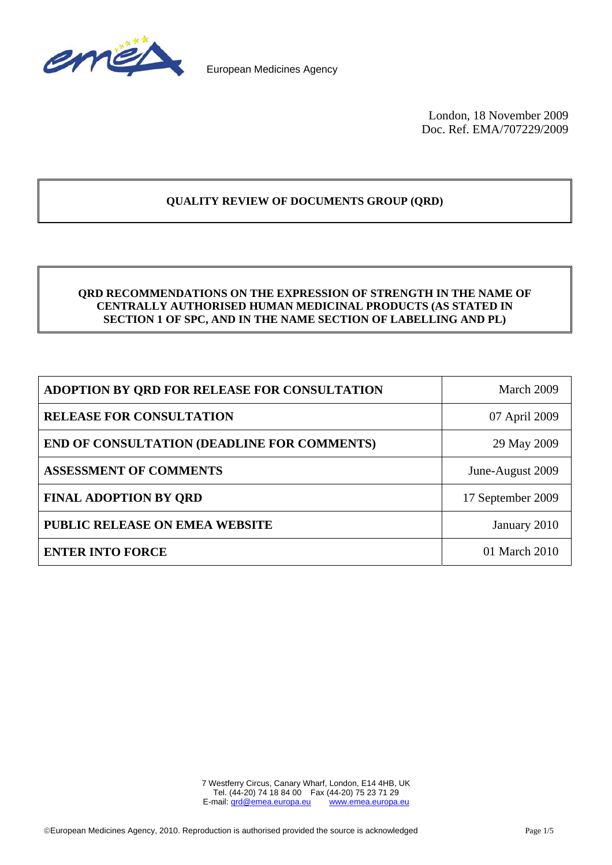

European Medicines Agency

London, 18 November 2009 Doc. Ref. EMA/707229/2009

# **QUALITY REVIEW OF DOCUMENTS GROUP (QRD)**

## **QRD RECOMMENDATIONS ON THE EXPRESSION OF STRENGTH IN THE NAME OF CENTRALLY AUTHORISED HUMAN MEDICINAL PRODUCTS (AS STATED IN SECTION 1 OF SPC, AND IN THE NAME SECTION OF LABELLING AND PL)**

| ADOPTION BY ORD FOR RELEASE FOR CONSULTATION       | March 2009        |
|----------------------------------------------------|-------------------|
| <b>RELEASE FOR CONSULTATION</b>                    | 07 April 2009     |
| <b>END OF CONSULTATION (DEADLINE FOR COMMENTS)</b> | 29 May 2009       |
| <b>ASSESSMENT OF COMMENTS</b>                      | June-August 2009  |
| <b>FINAL ADOPTION BY ORD</b>                       | 17 September 2009 |
| <b>PUBLIC RELEASE ON EMEA WEBSITE</b>              | January 2010      |
| <b>ENTER INTO FORCE</b>                            | 01 March 2010     |

7 Westferry Circus, Canary Wharf, London, E14 4HB, UK Tel. (44-20) 74 18 84 00 Fax (44-20) 75 23 71 29<br>mail: grd@emea.europa.eu www.emea.europa.eu E-mail: grd@emea.europa.eu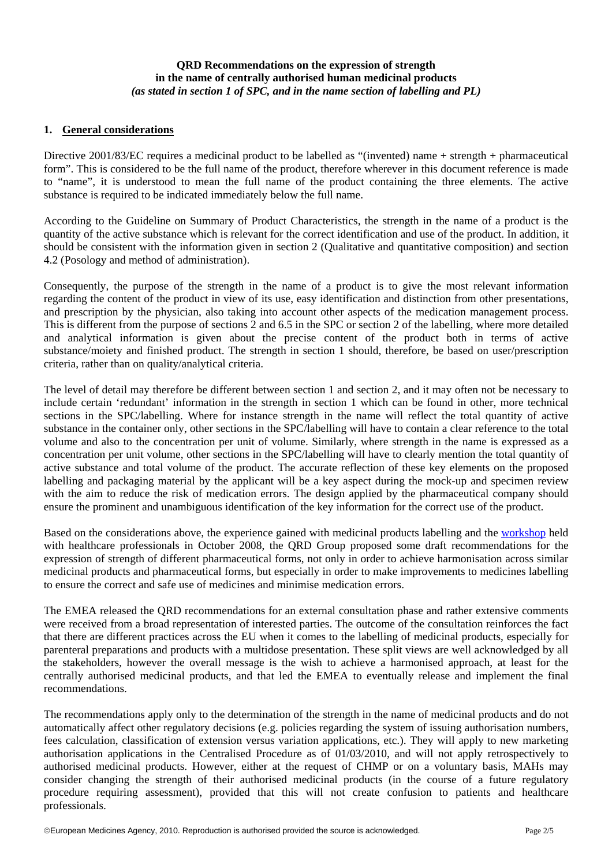## **QRD Recommendations on the expression of strength in the name of centrally authorised human medicinal products**  *(as stated in section 1 of SPC, and in the name section of labelling and PL)*

#### **1. General considerations**

Directive 2001/83/EC requires a medicinal product to be labelled as "(invented) name + strength + pharmaceutical form". This is considered to be the full name of the product, therefore wherever in this document reference is made to "name", it is understood to mean the full name of the product containing the three elements. The active substance is required to be indicated immediately below the full name.

According to the Guideline on Summary of Product Characteristics, the strength in the name of a product is the quantity of the active substance which is relevant for the correct identification and use of the product. In addition, it should be consistent with the information given in section 2 (Qualitative and quantitative composition) and section 4.2 (Posology and method of administration).

Consequently, the purpose of the strength in the name of a product is to give the most relevant information regarding the content of the product in view of its use, easy identification and distinction from other presentations, and prescription by the physician, also taking into account other aspects of the medication management process. This is different from the purpose of sections 2 and 6.5 in the SPC or section 2 of the labelling, where more detailed and analytical information is given about the precise content of the product both in terms of active substance/moiety and finished product. The strength in section 1 should, therefore, be based on user/prescription criteria, rather than on quality/analytical criteria.

The level of detail may therefore be different between section 1 and section 2, and it may often not be necessary to include certain 'redundant' information in the strength in section 1 which can be found in other, more technical sections in the SPC/labelling. Where for instance strength in the name will reflect the total quantity of active substance in the container only, other sections in the SPC/labelling will have to contain a clear reference to the total volume and also to the concentration per unit of volume. Similarly, where strength in the name is expressed as a concentration per unit volume, other sections in the SPC/labelling will have to clearly mention the total quantity of active substance and total volume of the product. The accurate reflection of these key elements on the proposed labelling and packaging material by the applicant will be a key aspect during the mock-up and specimen review with the aim to reduce the risk of medication errors. The design applied by the pharmaceutical company should ensure the prominent and unambiguous identification of the key information for the correct use of the product.

Based on the considerations above, the experience gained with medicinal products labelling and the [workshop](http://www.emea.europa.eu/docs/en_GB/document_library/Other/2011/03/WC500102957.pdf) held with healthcare professionals in October 2008, the QRD Group proposed some draft recommendations for the expression of strength of different pharmaceutical forms, not only in order to achieve harmonisation across similar medicinal products and pharmaceutical forms, but especially in order to make improvements to medicines labelling to ensure the correct and safe use of medicines and minimise medication errors.

The EMEA released the QRD recommendations for an external consultation phase and rather extensive comments were received from a broad representation of interested parties. The outcome of the consultation reinforces the fact that there are different practices across the EU when it comes to the labelling of medicinal products, especially for parenteral preparations and products with a multidose presentation. These split views are well acknowledged by all the stakeholders, however the overall message is the wish to achieve a harmonised approach, at least for the centrally authorised medicinal products, and that led the EMEA to eventually release and implement the final recommendations.

The recommendations apply only to the determination of the strength in the name of medicinal products and do not automatically affect other regulatory decisions (e.g. policies regarding the system of issuing authorisation numbers, fees calculation, classification of extension versus variation applications, etc.). They will apply to new marketing authorisation applications in the Centralised Procedure as of 01/03/2010, and will not apply retrospectively to authorised medicinal products. However, either at the request of CHMP or on a voluntary basis, MAHs may consider changing the strength of their authorised medicinal products (in the course of a future regulatory procedure requiring assessment), provided that this will not create confusion to patients and healthcare professionals.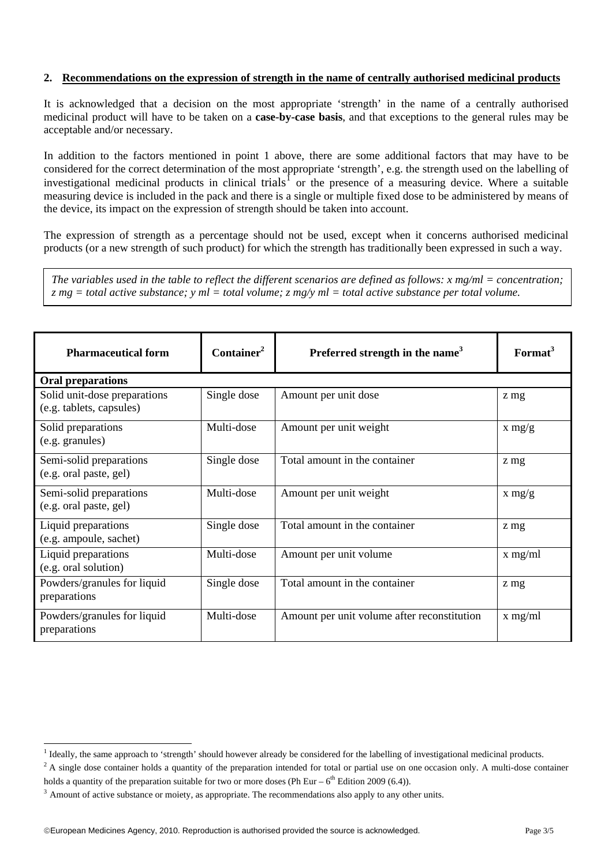#### **2. Recommendations on the expression of strength in the name of centrally authorised medicinal products**

It is acknowledged that a decision on the most appropriate 'strength' in the name of a centrally authorised medicinal product will have to be taken on a **case-by-case basis**, and that exceptions to the general rules may be acceptable and/or necessary.

In addition to the factors mentioned in point 1 above, there are some additional factors that may have to be considered for the correct determination of the most appropriate 'strength', e.g. the strength used on the labelling of investigational medicinal products in clinical trials<sup>[1](#page-2-0)</sup> or the presence of a measuring device. Where a suitable measuring device is included in the pack and there is a single or multiple fixed dose to be administered by means of the device, its impact on the expression of strength should be taken into account.

The expression of strength as a percentage should not be used, except when it concerns authorised medicinal products (or a new strength of such product) for which the strength has traditionally been expressed in such a way.

*The variables used in the table to reflect the different scenarios are defined as follows: x mg/ml = concentration; z mg = total active substance; y ml = total volume; z mg/y ml = total active substance per total volume.* 

| <b>Pharmaceutical form</b>                               | Container <sup>2</sup> | Preferred strength in the name <sup>3</sup> | Format <sup>3</sup> |  |  |
|----------------------------------------------------------|------------------------|---------------------------------------------|---------------------|--|--|
| <b>Oral preparations</b>                                 |                        |                                             |                     |  |  |
| Solid unit-dose preparations<br>(e.g. tablets, capsules) | Single dose            | Amount per unit dose                        | z mg                |  |  |
| Solid preparations<br>(e.g. granules)                    | Multi-dose             | Amount per unit weight                      | x mg/g              |  |  |
| Semi-solid preparations<br>(e.g. oral paste, gel)        | Single dose            | Total amount in the container               | z mg                |  |  |
| Semi-solid preparations<br>(e.g. oral paste, gel)        | Multi-dose             | Amount per unit weight                      | x mg/g              |  |  |
| Liquid preparations<br>(e.g. ampoule, sachet)            | Single dose            | Total amount in the container               | z mg                |  |  |
| Liquid preparations<br>(e.g. oral solution)              | Multi-dose             | Amount per unit volume                      | $x$ mg/ml           |  |  |
| Powders/granules for liquid<br>preparations              | Single dose            | Total amount in the container               | z mg                |  |  |
| Powders/granules for liquid<br>preparations              | Multi-dose             | Amount per unit volume after reconstitution | $x$ mg/ml           |  |  |

 $\frac{1}{1}$ 

<span id="page-2-0"></span> $^{2}$  A single dose container holds a quantity of the preparation intended for total or partial use on one occasion only. A multi-dose container holds a quantity of the preparation suitable for two or more doses (Ph Eur –  $6<sup>th</sup>$  Edition 2009 (6.4)).

 $3$  Amount of active substance or moiety, as appropriate. The recommendations also apply to any other units.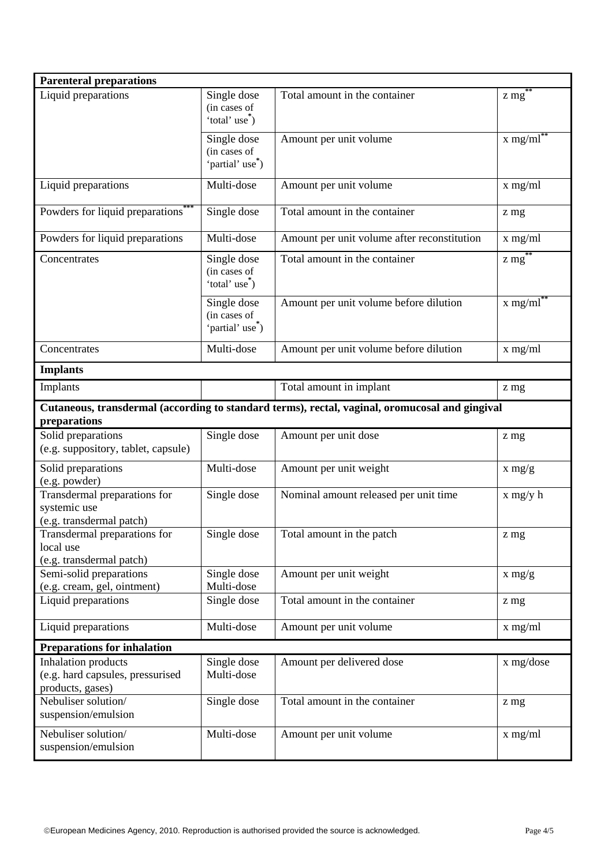| <b>Parenteral preparations</b>                                                                                 |                                                             |                                             |                        |  |
|----------------------------------------------------------------------------------------------------------------|-------------------------------------------------------------|---------------------------------------------|------------------------|--|
| Liquid preparations                                                                                            | Single dose<br>(in cases of<br>'total' use <sup>*</sup> )   | Total amount in the container               | $z$ mg $)$             |  |
|                                                                                                                | Single dose<br>(in cases of<br>'partial' use <sup>*</sup> ) | Amount per unit volume                      | $x$ mg/ml <sup>*</sup> |  |
| Liquid preparations                                                                                            | Multi-dose                                                  | Amount per unit volume                      | x mg/ml                |  |
| Powders for liquid preparations <sup>*</sup>                                                                   | Single dose                                                 | Total amount in the container               | z mg                   |  |
| Powders for liquid preparations                                                                                | Multi-dose                                                  | Amount per unit volume after reconstitution | x mg/ml                |  |
| Concentrates                                                                                                   | Single dose<br>(in cases of<br>'total' use <sup>*</sup> )   | Total amount in the container               | $z$ mg <sup>**</sup>   |  |
|                                                                                                                | Single dose<br>(in cases of<br>'partial' use <sup>*</sup> ) | Amount per unit volume before dilution      | $x$ mg/m $\sqrt{1}$    |  |
| Concentrates                                                                                                   | Multi-dose                                                  | Amount per unit volume before dilution      | x mg/ml                |  |
| <b>Implants</b>                                                                                                |                                                             |                                             |                        |  |
| Implants                                                                                                       |                                                             | Total amount in implant                     | z mg                   |  |
| Cutaneous, transdermal (according to standard terms), rectal, vaginal, oromucosal and gingival<br>preparations |                                                             |                                             |                        |  |
| Solid preparations<br>(e.g. suppository, tablet, capsule)                                                      | Single dose                                                 | Amount per unit dose                        | z mg                   |  |
| Solid preparations<br>(e.g. powder)                                                                            | Multi-dose                                                  | Amount per unit weight                      | $x \frac{mg}{g}$       |  |
| Transdermal preparations for<br>systemic use<br>(e.g. transdermal patch)                                       | Single dose                                                 | Nominal amount released per unit time       | $x$ mg/y h             |  |
| Transdermal preparations for<br>local use<br>(e.g. transdermal patch)                                          | Single dose                                                 | Total amount in the patch                   | z mg                   |  |
| Semi-solid preparations<br>(e.g. cream, gel, ointment)                                                         | Single dose<br>Multi-dose                                   | Amount per unit weight                      | $x \frac{mg}{g}$       |  |
| Liquid preparations                                                                                            | Single dose                                                 | Total amount in the container               | z mg                   |  |
| Liquid preparations                                                                                            | Multi-dose                                                  | Amount per unit volume                      | x mg/ml                |  |
| <b>Preparations for inhalation</b>                                                                             |                                                             |                                             |                        |  |
| <b>Inhalation</b> products<br>(e.g. hard capsules, pressurised<br>products, gases)                             | Single dose<br>Multi-dose                                   | Amount per delivered dose                   | x mg/dose              |  |
| Nebuliser solution/<br>suspension/emulsion                                                                     | Single dose                                                 | Total amount in the container               | z mg                   |  |
| Nebuliser solution/<br>suspension/emulsion                                                                     | Multi-dose                                                  | Amount per unit volume                      | $x$ mg/ml              |  |